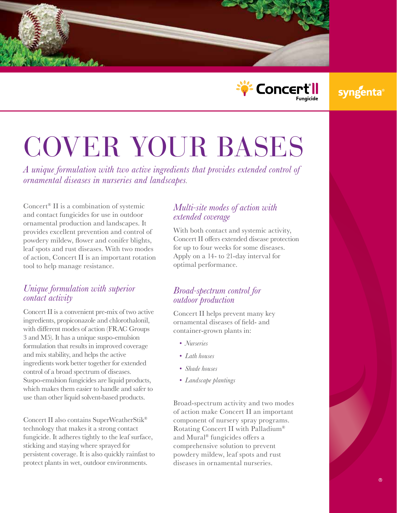



## syngenta

# COVER YOUR BASES

*A unique formulation with two active ingredients that provides extended control of ornamental diseases in nurseries and landscapes*.

Concert® II is a combination of systemic and contact fungicides for use in outdoor ornamental production and landscapes. It provides excellent prevention and control of powdery mildew, flower and conifer blights, leaf spots and rust diseases. With two modes of action, Concert II is an important rotation tool to help manage resistance.

#### *Unique formulation with superior contact activity*

Concert II is a convenient pre-mix of two active ingredients, propiconazole and chlorothalonil, with different modes of action (FRAC Groups 3 and M5). It has a unique suspo-emulsion formulation that results in improved coverage and mix stability, and helps the active ingredients work better together for extended control of a broad spectrum of diseases. Suspo-emulsion fungicides are liquid products, which makes them easier to handle and safer to use than other liquid solvent-based products.

Concert II also contains SuperWeatherStik® technology that makes it a strong contact fungicide. It adheres tightly to the leaf surface, sticking and staying where sprayed for persistent coverage. It is also quickly rainfast to protect plants in wet, outdoor environments.

#### *Multi-site modes of action with extended coverage*

With both contact and systemic activity, Concert II offers extended disease protection for up to four weeks for some diseases. Apply on a 14- to 21-day interval for optimal performance.

#### *Broad-spectrum control for outdoor production*

Concert II helps prevent many key ornamental diseases of field- and container-grown plants in:

- *• Nurseries*
- *• Lath houses*
- *• Shade houses*
- *• Landscape plantings*

Broad-spectrum activity and two modes of action make Concert II an important component of nursery spray programs. Rotating Concert II with Palladium® and Mural® fungicides offers a comprehensive solution to prevent powdery mildew, leaf spots and rust diseases in ornamental nurseries.